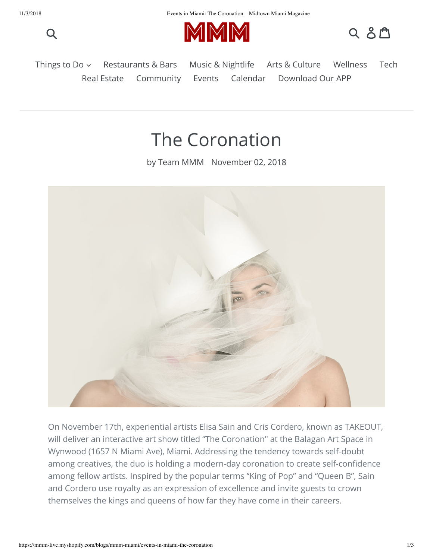



$$
Q
$$
  $\Delta$   $\Delta$ 

[Restaurants & Bars](https://mmm-live.myshopify.com/blogs/mmm-miami/tagged/food-drink) [Music & Nightlife](https://mmm-live.myshopify.com/blogs/mmm-miami/tagged/music-nightlife) [Arts & Culture](https://mmm-live.myshopify.com/blogs/mmm-miami/tagged/art-culture) [Wellness](https://mmm-live.myshopify.com/blogs/mmm-miami/tagged/health-wellness) [Tech](https://mmm-live.myshopify.com/blogs/mmm-miami/tagged/tech) [Real Estate](https://mmm-live.myshopify.com/blogs/mmm-miami/tagged/real-estate) [Community](https://mmm-live.myshopify.com/blogs/mmm-miami/tagged/community) [Events](https://mmm-live.myshopify.com/blogs/mmm-miami/tagged/events) [Calendar](https://mmm-live.myshopify.com/pages/events) [Download Our APP](http://www.mmmlive.com/) Things to Do  $\sim$ 

## The Coronation

by Team MMM November 02, 2018



On November 17th, experiential artists Elisa Sain and Cris Cordero, known as TAKEOUT, will deliver an interactive art show titled "The Coronation" at the Balagan Art Space in Wynwood (1657 N Miami Ave), Miami. Addressing the tendency towards self-doubt among creatives, the duo is holding a modern-day coronation to create self-confidence among fellow artists. Inspired by the popular terms "King of Pop" and "Queen B", Sain and Cordero use royalty as an expression of excellence and invite guests to crown themselves the kings and queens of how far they have come in their careers.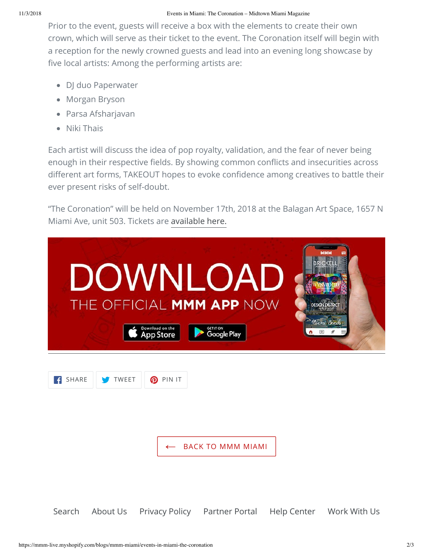Prior to the event, guests will receive a box with the elements to create their own crown, which will serve as their ticket to the event. The Coronation itself will begin with a reception for the newly crowned guests and lead into an evening long showcase by five local artists: Among the performing artists are:

- DJ duo Paperwater
- Morgan Bryson
- Parsa Afsharjavan
- Niki Thais

Each artist will discuss the idea of pop royalty, validation, and the fear of never being enough in their respective fields. By showing common conflicts and insecurities across different art forms, TAKEOUT hopes to evoke confidence among creatives to battle their ever present risks of self-doubt.

"The Coronation" will be held on November 17th, 2018 at the Balagan Art Space, 1657 N Miami Ave, unit 503. Tickets are [available here.](https://mmm-live.myshopify.com/blogs/mmm-miami/www.thecoronation.splashthat.com)

|       |              | Download on the<br><b>App Store</b> | DOWNLOAD<br>THE OFFICIAL MMM APP NOW<br><b>GET IT ON</b><br>Google Play | DESICN DISTR<br>Miami Bead<br>$\boxed{\circ}$ |
|-------|--------------|-------------------------------------|-------------------------------------------------------------------------|-----------------------------------------------|
| SHARE | <b>TWEET</b> | <b>O</b> PIN IT                     | <b>BACK TO MMM MIAMI</b>                                                |                                               |
|       |              |                                     | Search About Us Privacy Policy Partner Portal Help Center Work With Us  |                                               |